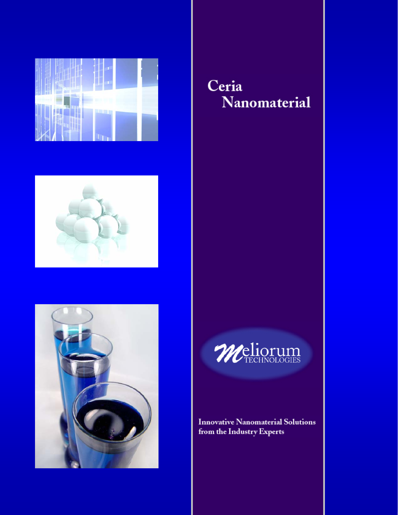





# Ceria Nanomaterial



**Innovative Nanomaterial Solutions** from the Industry Experts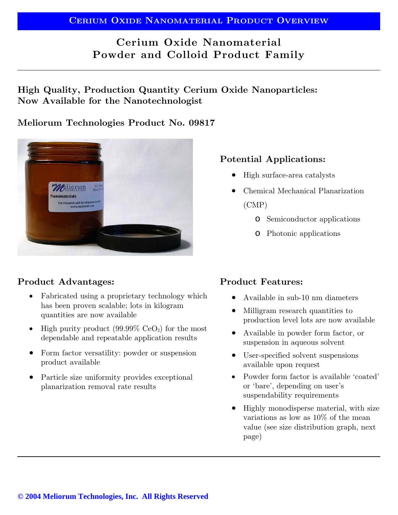# **Cerium Oxide Nanomaterial Powder and Colloid Product Family**

**High Quality, Production Quantity Cerium Oxide Nanoparticles: Now Available for the Nanotechnologist** 

#### **Meliorum Technologies Product No. 09817**



# **Product Advantages:**

- Fabricated using a proprietary technology which has been proven scalable; lots in kilogram quantities are now available
- High purity product  $(99.99\% \text{ CeO}_2)$  for the most dependable and repeatable application results
- Form factor versatility: powder or suspension product available
- Particle size uniformity provides exceptional planarization removal rate results

# **Potential Applications:**

- High surface-area catalysts
- Chemical Mechanical Planarization (CMP)
	- o Semiconductor applications
	- o Photonic applications

# **Product Features:**

- Available in sub-10 nm diameters
- Milligram research quantities to production level lots are now available
- Available in powder form factor, or suspension in aqueous solvent
- User-specified solvent suspensions available upon request
- Powder form factor is available 'coated' or 'bare', depending on user's suspendability requirements
- Highly monodisperse material, with size variations as low as 10% of the mean value (see size distribution graph, next page)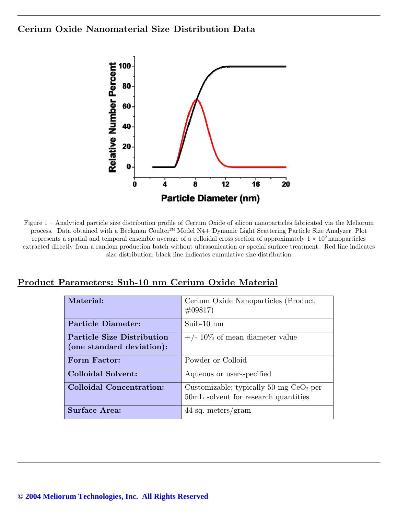#### **Cerium Oxide Nanomaterial Size Distribution Data**



Figure 1 – Analytical particle size distribution profile of Cerium Oxide of silicon nanoparticles fabricated via the Meliorum process. Data obtained with a Beckman Coulter™ Model N4+ Dynamic Light Scattering Particle Size Analyzer. Plot represents a spatial and temporal ensemble average of a colloidal cross section of approximately  $1 \times 10^6$  nanoparticles extracted directly from a random production batch without ultrasonication or special surface treatment. Red line indicates size distribution; black line indicates cumulative size distribution

#### **Product Parameters: Sub-10 nm Cerium Oxide Material**

| Material:                                                      | Cerium Oxide Nanoparticles (Product<br>$\#09817$                                 |
|----------------------------------------------------------------|----------------------------------------------------------------------------------|
| <b>Particle Diameter:</b>                                      | Suib- $10 \text{ nm}$                                                            |
| <b>Particle Size Distribution</b><br>(one standard deviation): | $+/- 10\%$ of mean diameter value                                                |
| <b>Form Factor:</b>                                            | Powder or Colloid                                                                |
| Colloidal Solvent:                                             | Aqueous or user-specified                                                        |
| Colloidal Concentration:                                       | Customizable; typically 50 mg $CeO2$ per<br>50mL solvent for research quantities |
| <b>Surface Area:</b>                                           | 44 sq. meters/gram                                                               |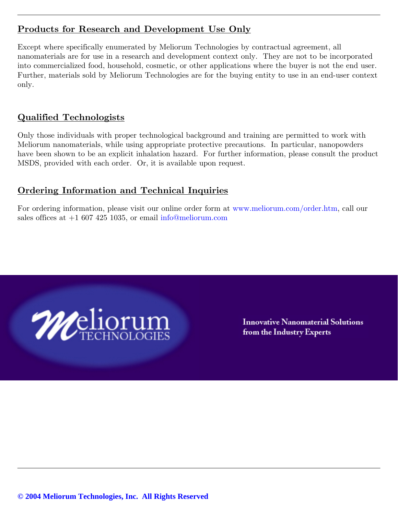# **Products for Research and Development Use Only**

Except where specifically enumerated by Meliorum Technologies by contractual agreement, all nanomaterials are for use in a research and development context only. They are not to be incorporated into commercialized food, household, cosmetic, or other applications where the buyer is not the end user. Further, materials sold by Meliorum Technologies are for the buying entity to use in an end-user context only.

### **Qualified Technologists**

Only those individuals with proper technological background and training are permitted to work with Meliorum nanomaterials, while using appropriate protective precautions. In particular, nanopowders have been shown to be an explicit inhalation hazard. For further information, please consult the product MSDS, provided with each order. Or, it is available upon request.

# **Ordering Information and Technical Inquiries**

For ordering information, please visit our online order form at www.meliorum.com/order.htm, call our sales offices at  $+1$  607 425 1035, or email info@meliorum.com



**Innovative Nanomaterial Solutions** from the Industry Experts